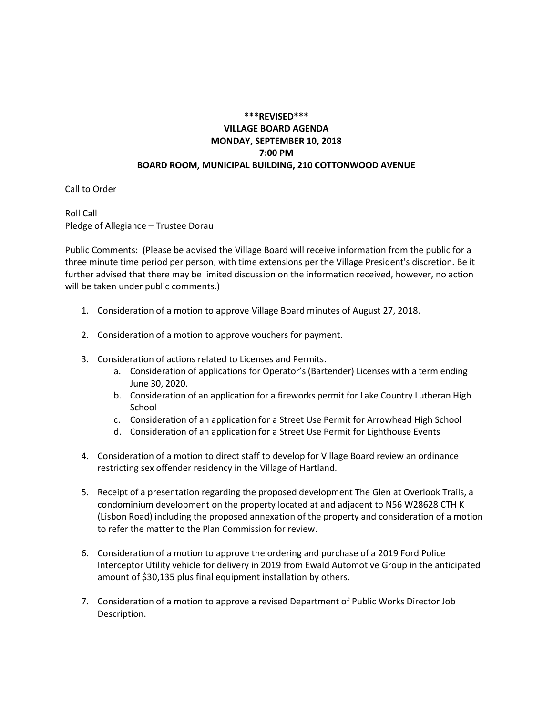## **\*\*\*REVISED\*\*\* VILLAGE BOARD AGENDA MONDAY, SEPTEMBER 10, 2018 7:00 PM BOARD ROOM, MUNICIPAL BUILDING, 210 COTTONWOOD AVENUE**

Call to Order

Roll Call Pledge of Allegiance – Trustee Dorau

Public Comments: (Please be advised the Village Board will receive information from the public for a three minute time period per person, with time extensions per the Village President's discretion. Be it further advised that there may be limited discussion on the information received, however, no action will be taken under public comments.)

- 1. Consideration of a motion to approve Village Board minutes of August 27, 2018.
- 2. Consideration of a motion to approve vouchers for payment.
- 3. Consideration of actions related to Licenses and Permits.
	- a. Consideration of applications for Operator's (Bartender) Licenses with a term ending June 30, 2020.
	- b. Consideration of an application for a fireworks permit for Lake Country Lutheran High School
	- c. Consideration of an application for a Street Use Permit for Arrowhead High School
	- d. Consideration of an application for a Street Use Permit for Lighthouse Events
- 4. Consideration of a motion to direct staff to develop for Village Board review an ordinance restricting sex offender residency in the Village of Hartland.
- 5. Receipt of a presentation regarding the proposed development The Glen at Overlook Trails, a condominium development on the property located at and adjacent to N56 W28628 CTH K (Lisbon Road) including the proposed annexation of the property and consideration of a motion to refer the matter to the Plan Commission for review.
- 6. Consideration of a motion to approve the ordering and purchase of a 2019 Ford Police Interceptor Utility vehicle for delivery in 2019 from Ewald Automotive Group in the anticipated amount of \$30,135 plus final equipment installation by others.
- 7. Consideration of a motion to approve a revised Department of Public Works Director Job Description.